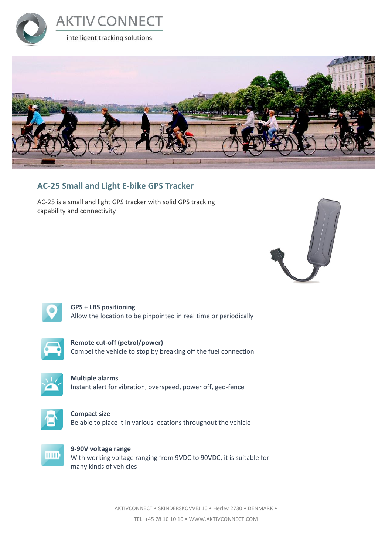



#### **AC-25 Small and Light E-bike GPS Tracker**

AC-25 is a small and light GPS tracker with solid GPS tracking capability and connectivity





**GPS + LBS positioning** Allow the location to be pinpointed in real time or periodically



**Remote cut-off (petrol/power)** Compel the vehicle to stop by breaking off the fuel connection



**Multiple alarms** Instant alert for vibration, overspeed, power off, geo-fence



**Compact size** Be able to place it in various locations throughout the vehicle



**9-90V voltage range** With working voltage ranging from 9VDC to 90VDC, it is suitable for many kinds of vehicles

> AKTIVCONNECT • SKINDERSKOVVEJ 10 • Herlev 2730 • DENMARK • TEL. +45 78 10 10 10 • WWW.AKTIVCONNECT.COM